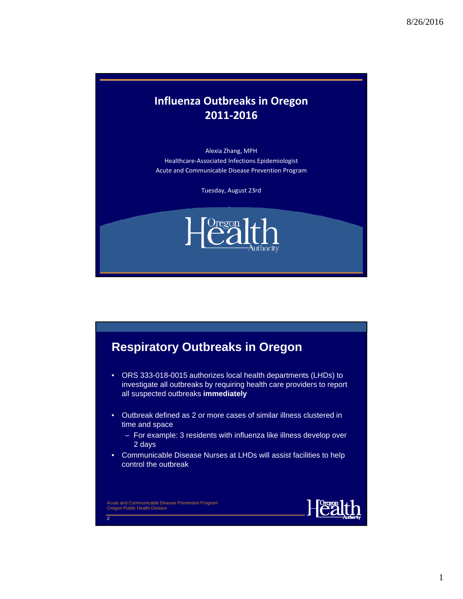#### **Influenza Outbreaks in Oregon 2011‐2016**

Alexia Zhang, MPH Healthcare‐Associated Infections Epidemiologist Acute and Communicable Disease Prevention Program

Tuesday, August 23rd





- ORS 333-018-0015 authorizes local health departments (LHDs) to investigate all outbreaks by requiring health care providers to report all suspected outbreaks **immediately**
- Outbreak defined as 2 or more cases of similar illness clustered in time and space
	- For example: 3 residents with influenza like illness develop over 2 days
- Communicable Disease Nurses at LHDs will assist facilities to help control the outbreak

Acute and Communicable Disease Prevention Program Oregon Public Health Division

2

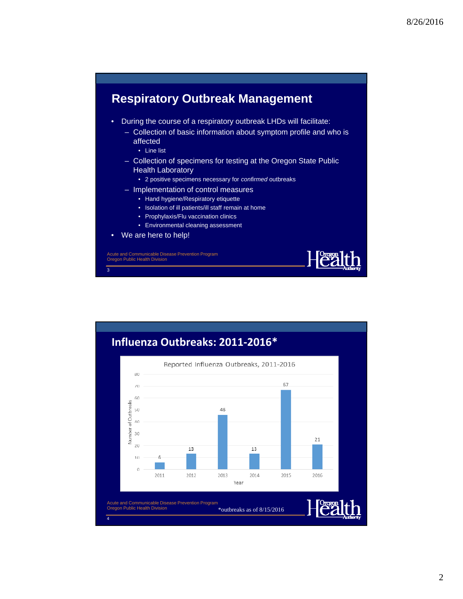

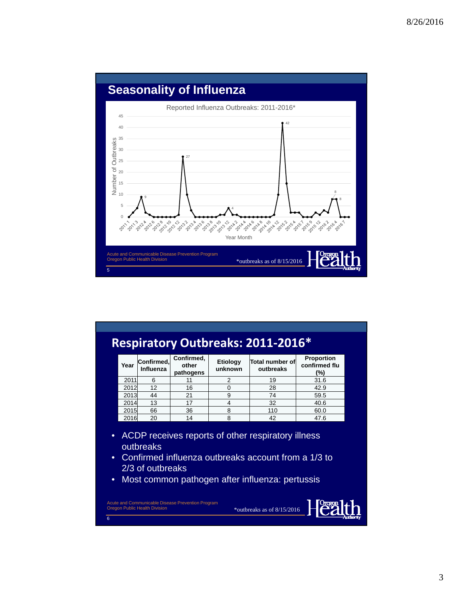

## **Respiratory Outbreaks: 2011‐2016\***

| Year | Confirmed,<br>Influenza | Confirmed,<br>other<br>pathogens | Etiology<br>unknown | Total number of<br>outbreaks | <b>Proportion</b><br>confirmed flu<br>(%) |
|------|-------------------------|----------------------------------|---------------------|------------------------------|-------------------------------------------|
| 2011 | 6                       |                                  |                     | 19                           | 31.6                                      |
| 2012 | 12                      | 16                               |                     | 28                           | 42.9                                      |
| 2013 | 44                      | 21                               |                     | 74                           | 59.5                                      |
| 2014 | 13                      | 17                               |                     | 32                           | 40.6                                      |
| 2015 | 66                      | 36                               |                     | 110                          | 60.0                                      |
| 2016 | 20                      | 14                               | 8                   | 42                           | 47.6                                      |

- ACDP receives reports of other respiratory illness outbreaks
- Confirmed influenza outbreaks account from a 1/3 to 2/3 of outbreaks

\*outbreaks as of 8/15/2016

Health

• Most common pathogen after influenza: pertussis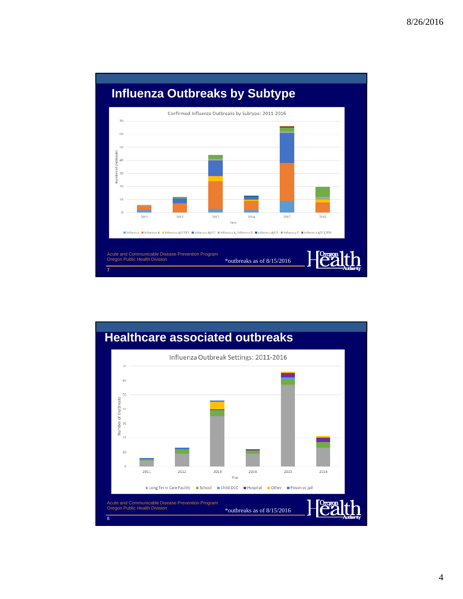

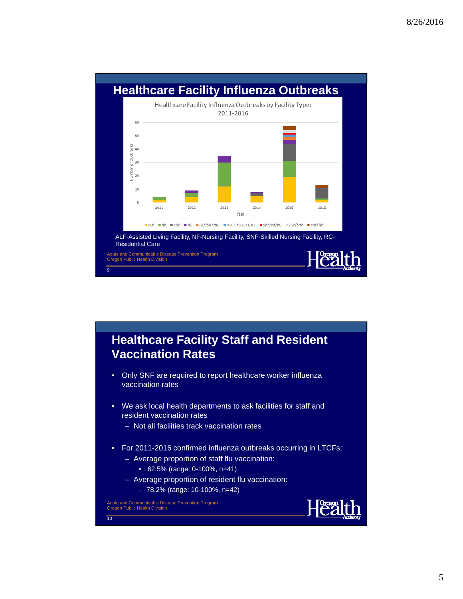

#### **Healthcare Facility Staff and Resident Vaccination Rates**

- Only SNF are required to report healthcare worker influenza vaccination rates
- We ask local health departments to ask facilities for staff and resident vaccination rates
	- Not all facilities track vaccination rates
- For 2011-2016 confirmed influenza outbreaks occurring in LTCFs:
	- Average proportion of staff flu vaccination:
		- 62.5% (range: 0-100%, n=41)
	- Average proportion of resident flu vaccination:
		- 78.2% (range: 10-100%, n=42)

Acute and Communicable Disease Prevention Program Oregon Public Health Division

 $\overline{10}$ 

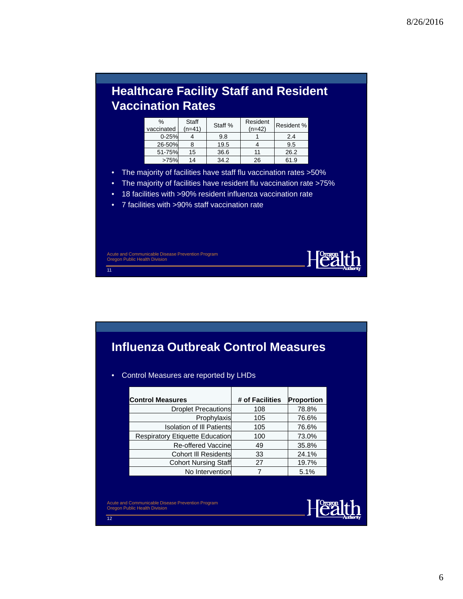# **Healthcare Facility Staff and Resident Vaccination Rates**

| %<br>vaccinated | Staff<br>(n=41) | Staff % | Resident<br>$(n=42)$ | Resident % |
|-----------------|-----------------|---------|----------------------|------------|
| $0 - 25%$       |                 | 9.8     |                      | 2.4        |
| 26-50%          |                 | 19.5    |                      | 9.5        |
| 51-75%          | 15              | 36.6    | 11                   | 26.2       |
| >75%            | 14              | 34.2    | 26                   | 61.9       |

- The majority of facilities have staff flu vaccination rates >50%
- The majority of facilities have resident flu vaccination rate >75%
- 18 facilities with >90% resident influenza vaccination rate
- 7 facilities with >90% staff vaccination rate

Acute and Communicable Disease Prevention Program Oregon Public Health Division

 $\overline{11}$ 

## **Influenza Outbreak Control Measures**

#### • Control Measures are reported by LHDs

| <b>Control Measures</b>          | # of Facilities | Proportion |
|----------------------------------|-----------------|------------|
| Droplet Precautions              | 108             | 78.8%      |
| Prophylaxis                      | 105             | 76.6%      |
| <b>Isolation of III Patients</b> | 105             | 76.6%      |
| Respiratory Etiquette Education  | 100             | 73.0%      |
| Re-offered Vaccine               | 49              | 35.8%      |
| Cohort III Residents             | 33              | 24.1%      |
| Cohort Nursing Staff             | 27              | 19.7%      |
| No Intervention                  |                 | 5.1%       |

Acute and Communicable Disease Prevention Program Oregon Public Health Division

 $\overline{12}$ 



Health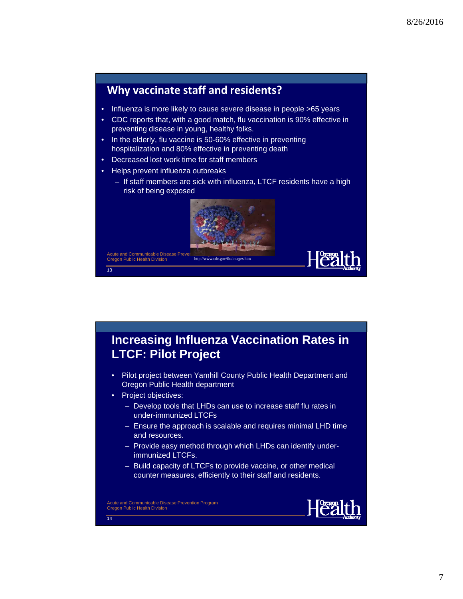

#### **Increasing Influenza Vaccination Rates in LTCF: Pilot Project**

- Pilot project between Yamhill County Public Health Department and Oregon Public Health department
- Project objectives:
	- Develop tools that LHDs can use to increase staff flu rates in under-immunized LTCFs
	- Ensure the approach is scalable and requires minimal LHD time and resources.
	- Provide easy method through which LHDs can identify underimmunized LTCFs.
	- Build capacity of LTCFs to provide vaccine, or other medical counter measures, efficiently to their staff and residents.

Acute and Communicable Disease Prevention Program Oregon Public Health Division

 $\overline{14}$ 

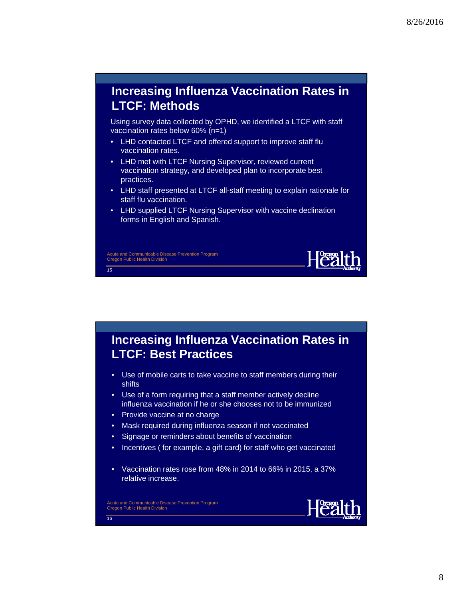### **Increasing Influenza Vaccination Rates in LTCF: Methods**

Using survey data collected by OPHD, we identified a LTCF with staff vaccination rates below 60% (n=1)

- LHD contacted LTCF and offered support to improve staff flu vaccination rates.
- LHD met with LTCF Nursing Supervisor, reviewed current vaccination strategy, and developed plan to incorporate best practices.
- LHD staff presented at LTCF all-staff meeting to explain rationale for staff flu vaccination.
- LHD supplied LTCF Nursing Supervisor with vaccine declination forms in English and Spanish.

Acute and Communicable Disease Prevention Program Oregon Public Health Division

 $\overline{15}$ 

 $\overline{16}$ 

**Increasing Influenza Vaccination Rates in LTCF: Best Practices**

- Use of mobile carts to take vaccine to staff members during their shifts
- Use of a form requiring that a staff member actively decline influenza vaccination if he or she chooses not to be immunized
- Provide vaccine at no charge
- Mask required during influenza season if not vaccinated
- Signage or reminders about benefits of vaccination
- Incentives ( for example, a gift card) for staff who get vaccinated
- Vaccination rates rose from 48% in 2014 to 66% in 2015, a 37% relative increase.

Acute and Communicable Disease Prevention Program Oregon Public Health Division



**Health**